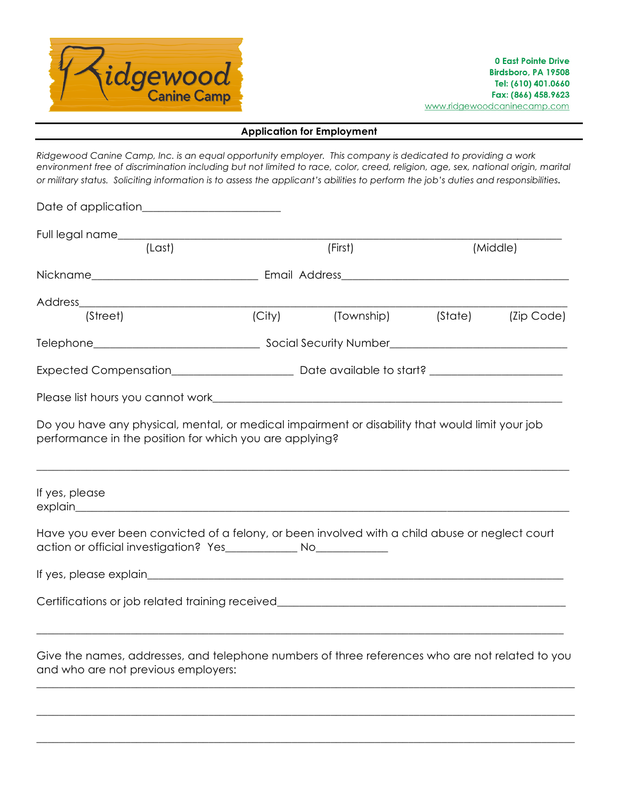

## **Application for Employment**

*Ridgewood Canine Camp, Inc. is an equal opportunity employer. This company is dedicated to providing a work environment free of discrimination including but not limited to race, color, creed, religion, age, sex, national origin, marital or military status. Soliciting information is to assess the applicant's abilities to perform the job's duties and responsibilities.*

|                                                                                                                                                                                                                                                                                                |                     | (First)    |         | (Middle)   |  |
|------------------------------------------------------------------------------------------------------------------------------------------------------------------------------------------------------------------------------------------------------------------------------------------------|---------------------|------------|---------|------------|--|
|                                                                                                                                                                                                                                                                                                |                     |            |         |            |  |
|                                                                                                                                                                                                                                                                                                |                     |            |         |            |  |
| (Street)                                                                                                                                                                                                                                                                                       | $\overline{(City)}$ | (Township) | (State) | (Zip Code) |  |
|                                                                                                                                                                                                                                                                                                |                     |            |         |            |  |
|                                                                                                                                                                                                                                                                                                |                     |            |         |            |  |
|                                                                                                                                                                                                                                                                                                |                     |            |         |            |  |
| Do you have any physical, mental, or medical impairment or disability that would limit your job<br>performance in the position for which you are applying?<br>If yes, please<br>explain explain explaintenance and the set of the set of the set of the set of the set of the set of the set o |                     |            |         |            |  |
| Have you ever been convicted of a felony, or been involved with a child abuse or neglect court                                                                                                                                                                                                 |                     |            |         |            |  |
|                                                                                                                                                                                                                                                                                                |                     |            |         |            |  |
| Certifications or job related training received_________________________________                                                                                                                                                                                                               |                     |            |         |            |  |
| Give the names, addresses, and telephone numbers of three references who are not related to you<br>and who are not previous employers:                                                                                                                                                         |                     |            |         |            |  |

\_\_\_\_\_\_\_\_\_\_\_\_\_\_\_\_\_\_\_\_\_\_\_\_\_\_\_\_\_\_\_\_\_\_\_\_\_\_\_\_\_\_\_\_\_\_\_\_\_\_\_\_\_\_\_\_\_\_\_\_\_\_\_\_\_\_\_\_\_\_\_\_\_\_\_\_\_\_\_\_\_\_\_\_\_\_\_\_\_\_\_\_\_\_\_\_\_

\_\_\_\_\_\_\_\_\_\_\_\_\_\_\_\_\_\_\_\_\_\_\_\_\_\_\_\_\_\_\_\_\_\_\_\_\_\_\_\_\_\_\_\_\_\_\_\_\_\_\_\_\_\_\_\_\_\_\_\_\_\_\_\_\_\_\_\_\_\_\_\_\_\_\_\_\_\_\_\_\_\_\_\_\_\_\_\_\_\_\_\_\_\_\_\_\_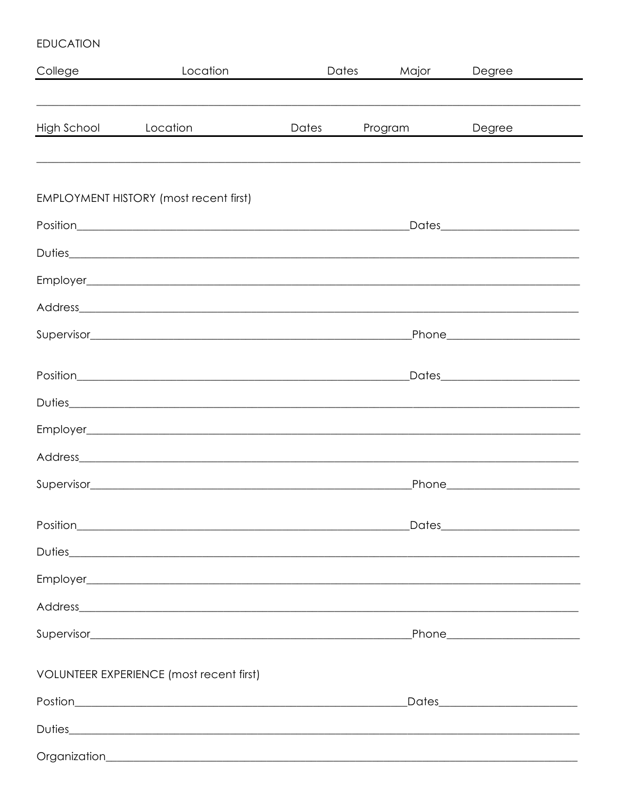## **EDUCATION**

| College     | Location                                                                                                                                                                                                                             | Dates | Major   | Degree                               |
|-------------|--------------------------------------------------------------------------------------------------------------------------------------------------------------------------------------------------------------------------------------|-------|---------|--------------------------------------|
|             |                                                                                                                                                                                                                                      |       |         |                                      |
| High School | Location                                                                                                                                                                                                                             | Dates | Program | Degree                               |
|             |                                                                                                                                                                                                                                      |       |         |                                      |
|             |                                                                                                                                                                                                                                      |       |         |                                      |
|             | <b>EMPLOYMENT HISTORY (most recent first)</b>                                                                                                                                                                                        |       |         |                                      |
|             |                                                                                                                                                                                                                                      |       |         | _Dates____________________________   |
|             |                                                                                                                                                                                                                                      |       |         |                                      |
|             |                                                                                                                                                                                                                                      |       |         |                                      |
|             |                                                                                                                                                                                                                                      |       |         |                                      |
|             |                                                                                                                                                                                                                                      |       |         | _Phone_________________________      |
|             |                                                                                                                                                                                                                                      |       |         |                                      |
|             | Position <b>Provident Contract Contract Contract Contract Contract Contract Contract Contract Contract Contract Contract Contract Contract Contract Contract Contract Contract Contract Contract Contract Contract Contract Cont</b> |       |         | Dates__________________________      |
|             |                                                                                                                                                                                                                                      |       |         |                                      |
|             |                                                                                                                                                                                                                                      |       |         |                                      |
|             |                                                                                                                                                                                                                                      |       |         |                                      |
|             |                                                                                                                                                                                                                                      |       |         | Phone________________________        |
|             |                                                                                                                                                                                                                                      |       |         | _Dates___________________________    |
|             |                                                                                                                                                                                                                                      |       |         |                                      |
|             |                                                                                                                                                                                                                                      |       |         |                                      |
|             |                                                                                                                                                                                                                                      |       |         |                                      |
|             |                                                                                                                                                                                                                                      |       |         |                                      |
|             | VOLUNTEER EXPERIENCE (most recent first)                                                                                                                                                                                             |       |         |                                      |
|             |                                                                                                                                                                                                                                      |       |         | _Dates______________________________ |
|             |                                                                                                                                                                                                                                      |       |         |                                      |
|             |                                                                                                                                                                                                                                      |       |         |                                      |